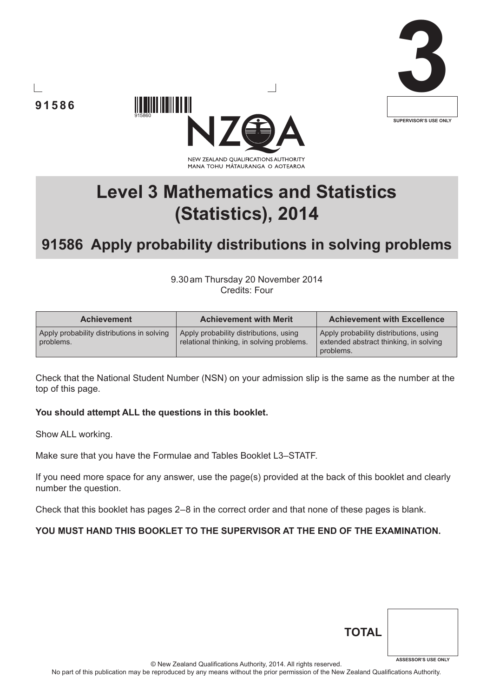







# **91586 Apply probability distributions in solving problems**

9.30am Thursday 20 November 2014 Credits: Four

| <b>Achievement</b>                                      | <b>Achievement with Merit</b>                                                       | <b>Achievement with Excellence</b>                                                            |
|---------------------------------------------------------|-------------------------------------------------------------------------------------|-----------------------------------------------------------------------------------------------|
| Apply probability distributions in solving<br>problems. | Apply probability distributions, using<br>relational thinking, in solving problems. | Apply probability distributions, using<br>extended abstract thinking, in solving<br>problems. |

Check that the National Student Number (NSN) on your admission slip is the same as the number at the top of this page.

#### You should attempt ALL the questions in this booklet.

Show ALL working.

Make sure that you have the Formulae and Tables Booklet L3–STATF.

If you need more space for any answer, use the page(s) provided at the back of this booklet and clearly number the question.

Check that this booklet has pages 2–8 in the correct order and that none of these pages is blank.

# **You must hand this booklet to the supervisor at the end of the examination.**

© New Zealand Qualifications Authority, 2014. All rights reserved.

No part of this publication may be reproduced by any means without the prior permission of the New Zealand Qualifications Authority.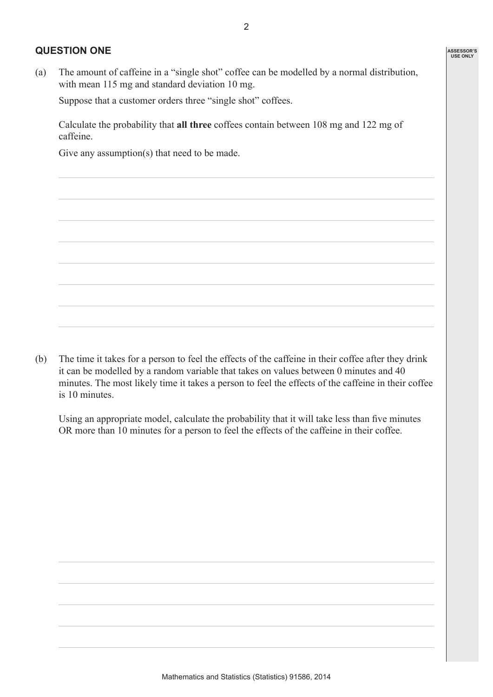### **Question One**

(a) The amount of caffeine in a "single shot" coffee can be modelled by a normal distribution, with mean 115 mg and standard deviation 10 mg.

Suppose that a customer orders three "single shot" coffees.

Calculate the probability that **all three** coffees contain between 108 mg and 122 mg of caffeine.

Give any assumption(s) that need to be made.

(b) The time it takes for a person to feel the effects of the caffeine in their coffee after they drink it can be modelled by a random variable that takes on values between 0 minutes and 40 minutes. The most likely time it takes a person to feel the effects of the caffeine in their coffee is 10 minutes.

 Using an appropriate model, calculate the probability that it will take less than five minutes OR more than 10 minutes for a person to feel the effects of the caffeine in their coffee.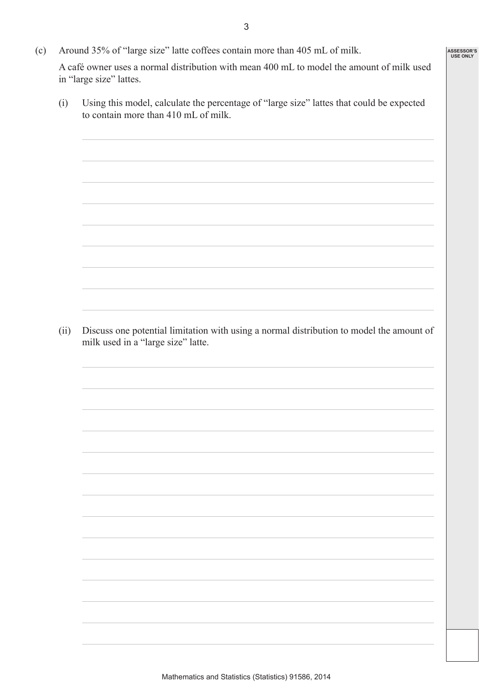(c) Around 35% of "large size" latte coffees contain more than 405 mL of milk.

A café owner uses a normal distribution with mean 400 mL to model the amount of milk used in "large size" lattes.

(i) Using this model, calculate the percentage of "large size" lattes that could be expected to contain more than 410 mL of milk.

(ii) Discuss one potential limitation with using a normal distribution to model the amount of milk used in a "large size" latte.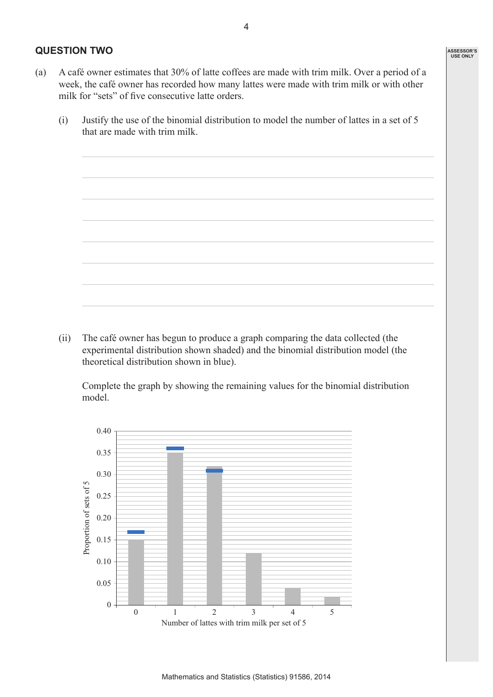# **Question Two**

- (a) A café owner estimates that 30% of latte coffees are made with trim milk. Over a period of a week, the café owner has recorded how many lattes were made with trim milk or with other milk for "sets" of five consecutive latte orders.
	- (i) Justify the use of the binomial distribution to model the number of lattes in a set of 5 that are made with trim milk.

(ii) The café owner has begun to produce a graph comparing the data collected (the experimental distribution shown shaded) and the binomial distribution model (the theoretical distribution shown in blue).

 Complete the graph by showing the remaining values for the binomial distribution model.

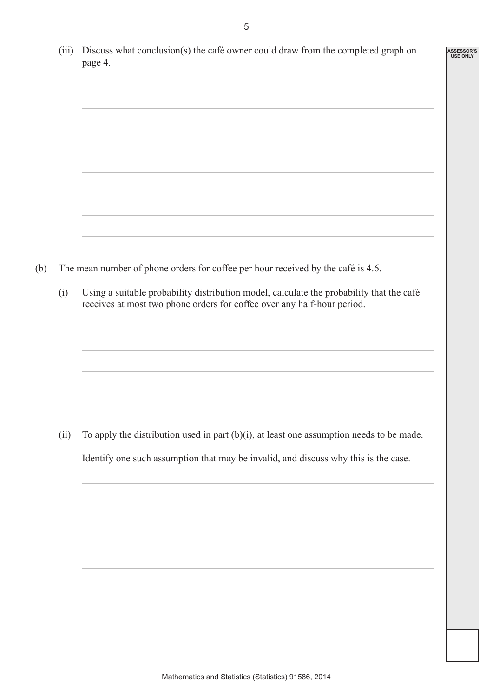| (iii) | Discuss what conclusion(s) the café owner could draw from the completed graph on<br>page 4.                                                                         |
|-------|---------------------------------------------------------------------------------------------------------------------------------------------------------------------|
|       |                                                                                                                                                                     |
|       |                                                                                                                                                                     |
|       |                                                                                                                                                                     |
|       | The mean number of phone orders for coffee per hour received by the café is 4.6.                                                                                    |
| (i)   | Using a suitable probability distribution model, calculate the probability that the café<br>receives at most two phone orders for coffee over any half-hour period. |
|       |                                                                                                                                                                     |
| (ii)  | To apply the distribution used in part $(b)(i)$ , at least one assumption needs to be made.                                                                         |
|       | Identify one such assumption that may be invalid, and discuss why this is the case.                                                                                 |
|       |                                                                                                                                                                     |
|       |                                                                                                                                                                     |
|       |                                                                                                                                                                     |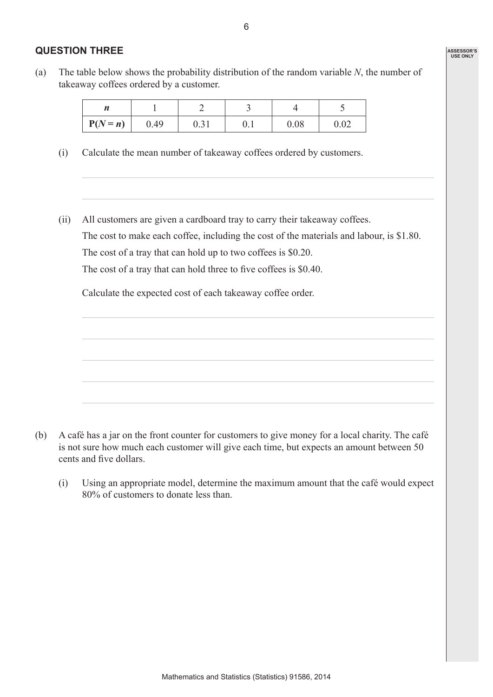# **Question Three**

(a) The table below shows the probability distribution of the random variable *N*, the number of takeaway coffees ordered by a customer.

| $P(N = n)$ | 0.49 | v. ji | v. 1 | 0.08 | $\Omega$<br>0.OZ |
|------------|------|-------|------|------|------------------|

- (i) Calculate the mean number of takeaway coffees ordered by customers.
- (ii) All customers are given a cardboard tray to carry their takeaway coffees. The cost to make each coffee, including the cost of the materials and labour, is \$1.80. The cost of a tray that can hold up to two coffees is \$0.20. The cost of a tray that can hold three to five coffees is \$0.40.

Calculate the expected cost of each takeaway coffee order.



(i) Using an appropriate model, determine the maximum amount that the café would expect 80% of customers to donate less than.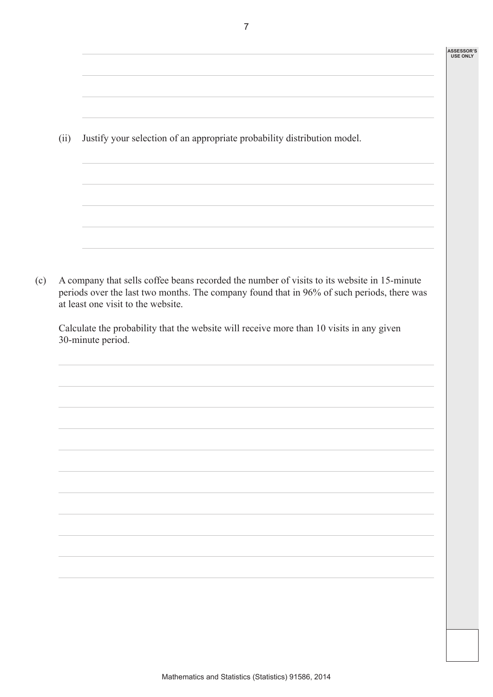#### **ASSESSOR'S USE ONLY**

(ii) Justify your selection of an appropriate probability distribution model.

(c) A company that sells coffee beans recorded the number of visits to its website in 15-minute periods over the last two months. The company found that in 96% of such periods, there was at least one visit to the website.

Calculate the probability that the website will receive more than 10 visits in any given 30-minute period.

7